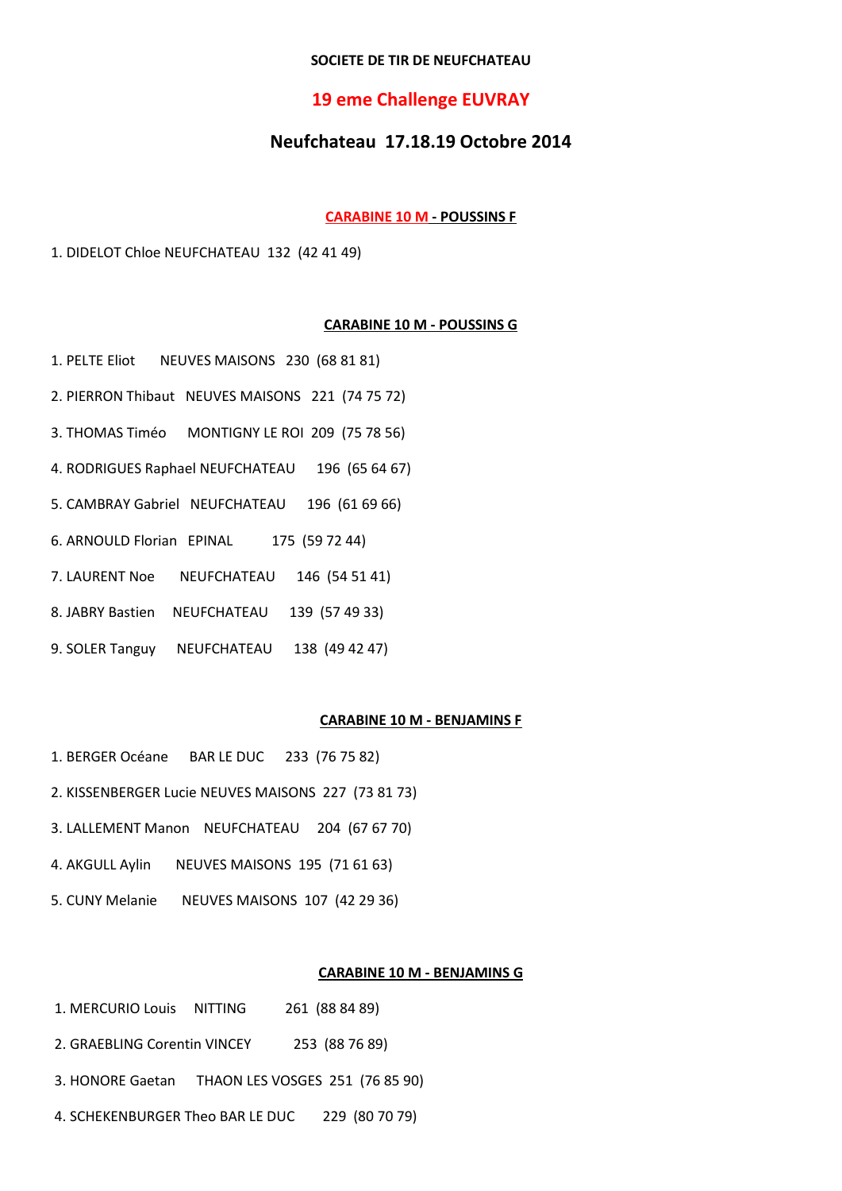# SOCIETE DE TIR DE NEUFCHATEAU

# **19 eme Challenge EUVRAY**

# Neufchateau 17.18.19 Octobre 2014

#### **CARABINE 10 M - POUSSINS F**

1. DIDELOT Chloe NEUFCHATEAU 132 (42 41 49)

# **CARABINE 10 M - POUSSINS G**

- 1. PELTE Eliot NEUVES MAISONS 230 (68 81 81)
- 2. PIERRON Thibaut NEUVES MAISONS 221 (74 75 72)
- 3. THOMAS Timéo MONTIGNY LE ROI 209 (75 78 56)
- 4. RODRIGUES Raphael NEUFCHATEAU 196 (65 64 67)
- 5. CAMBRAY Gabriel NEUFCHATEAU 196 (61 69 66)
- 6. ARNOULD Florian EPINAL 175 (59 72 44)
- 7. LAURENT Noe NEUFCHATEAU 146 (54 51 41)
- 8. JABRY Bastien NEUFCHATEAU 139 (57 49 33)
- 9. SOLER Tanguy NEUFCHATEAU 138 (49 42 47)

# **CARABINE 10 M - BENJAMINS F**

- 1. BERGER Océane BAR LE DUC 233 (76 75 82)
- 2. KISSENBERGER Lucie NEUVES MAISONS 227 (73 81 73)
- 3. LALLEMENT Manon NEUFCHATEAU 204 (67 67 70)
- 4. AKGULL Aylin NEUVES MAISONS 195 (71 61 63)
- 5. CUNY Melanie NEUVES MAISONS 107 (42 29 36)

# **CARABINE 10 M - BENJAMINS G**

- 1. MERCURIO Louis NITTING 261 (88 84 89)
- 2. GRAEBLING Corentin VINCEY 253 (88 76 89)
- 3. HONORE Gaetan THAON LES VOSGES 251 (76 85 90)
- 4. SCHEKENBURGER Theo BAR LE DUC 229 (80 70 79)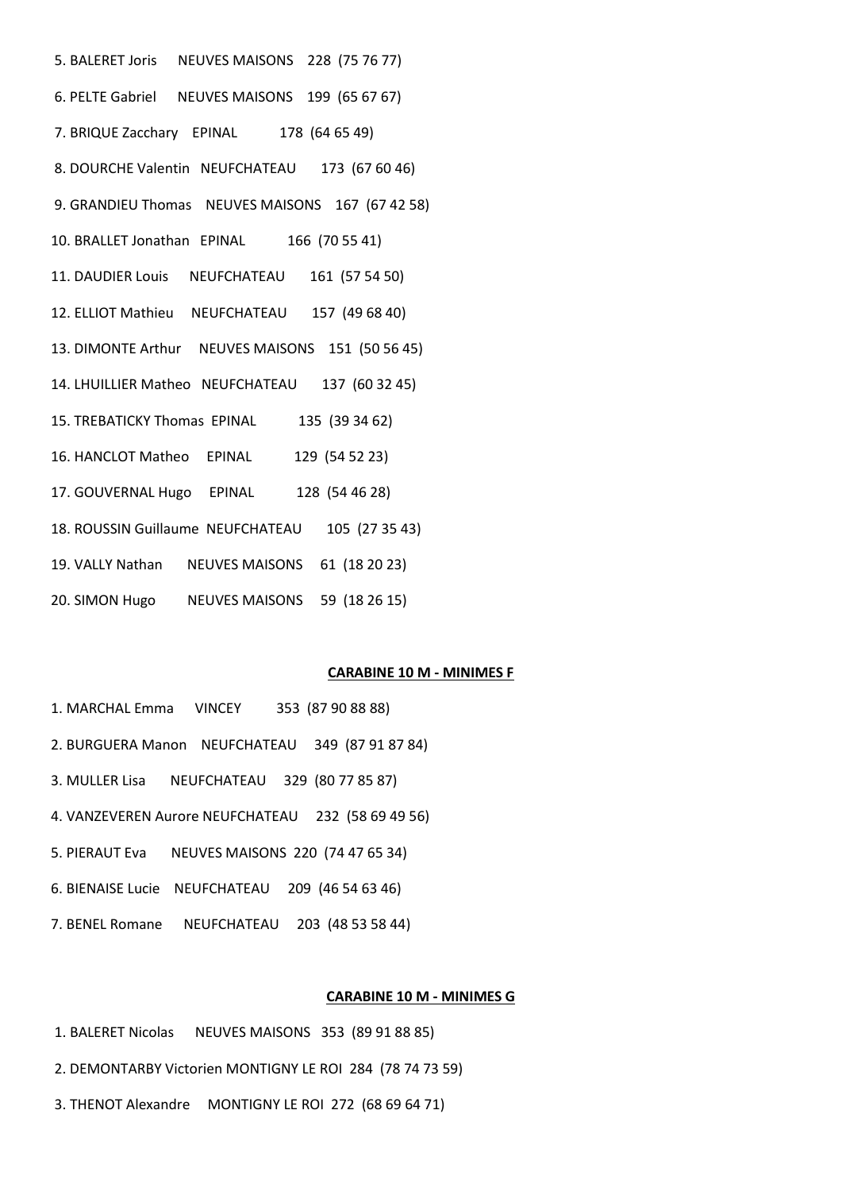5. BALERET Joris NEUVES MAISONS 228 (75 76 77) 6. PELTE Gabriel NEUVES MAISONS 199 (65 67 67) 7. BRIQUE Zacchary EPINAL 178 (64 65 49) 8. DOURCHE Valentin NEUFCHATEAU 173 (67 60 46) 9. GRANDIEU Thomas NEUVES MAISONS 167 (67 42 58) 10. BRALLET Jonathan EPINAL 166 (70 55 41) 11. DAUDIER Louis NEUFCHATEAU 161 (57 54 50) 12. ELLIOT Mathieu NEUFCHATEAU 157 (49 68 40) 13. DIMONTE Arthur NEUVES MAISONS 151 (50 56 45) 14. LHUILLIER Matheo NEUFCHATEAU 137 (60 32 45) 15. TREBATICKY Thomas EPINAL 135 (39 34 62) 16. HANCLOT Matheo EPINAL 129 (54 52 23) 17. GOUVERNAL Hugo EPINAL 128 (54 46 28) 18. ROUSSIN Guillaume NEUFCHATEAU 105 (27 35 43) 19. VALLY Nathan NEUVES MAISONS 61 (18 20 23) 20. SIMON Hugo NEUVES MAISONS 59 (18 26 15)

# **CARABINE 10 M - MINIMES F**

- 1. MARCHAL Emma VINCEY 353 (87 90 88 88)
- 2. BURGUERA Manon NEUFCHATEAU 349 (87 91 87 84)
- 3. MULLER Lisa NEUFCHATEAU 329 (80 77 85 87)
- 4. VANZEVEREN Aurore NEUFCHATEAU 232 (58 69 49 56)
- 5. PIERAUT Eva NEUVES MAISONS 220 (74 47 65 34)
- 6. BIENAISE Lucie NEUFCHATEAU 209 (46 54 63 46)
- 7. BENEL Romane NEUFCHATEAU 203 (48 53 58 44)

#### **CARABINE 10 M - MINIMES G**

- 1. BALERET Nicolas NEUVES MAISONS 353 (89 91 88 85)
- 2. DEMONTARBY Victorien MONTIGNY LE ROI 284 (78 74 73 59)
- 3. THENOT Alexandre MONTIGNY LE ROI 272 (68 69 64 71)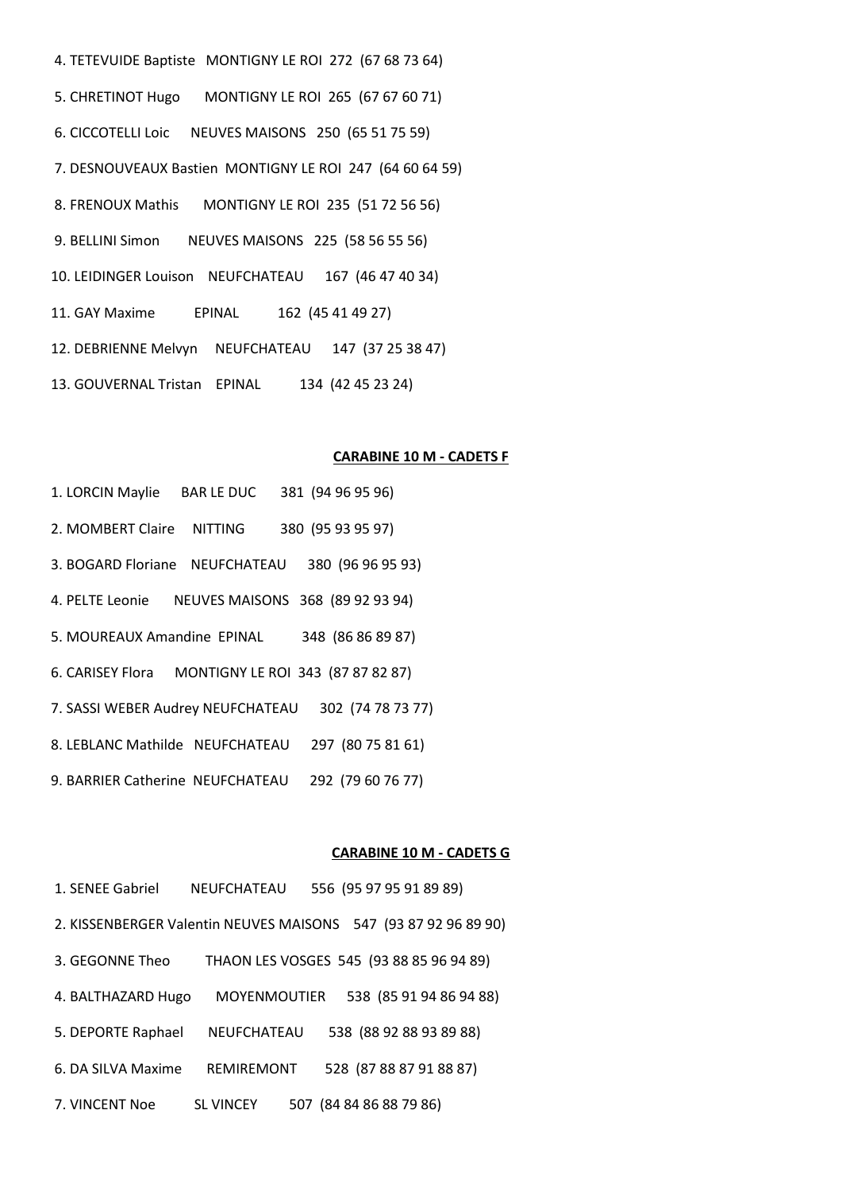4. TETEVUIDE Baptiste MONTIGNY LE ROI 272 (67 68 73 64) 5. CHRETINOT Hugo MONTIGNY LE ROI 265 (67 67 60 71) 6. CICCOTELLI Loic NEUVES MAISONS 250 (65 51 75 59) 7. DESNOUVEAUX Bastien MONTIGNY LE ROI 247 (64 60 64 59) 8. FRENOUX Mathis MONTIGNY LE ROI 235 (51 72 56 56) 9. BELLINI Simon NEUVES MAISONS 225 (58 56 55 56) 10. LEIDINGER Louison NEUFCHATEAU 167 (46 47 40 34) 11. GAY Maxime EPINAL 162 (45 41 49 27) 12. DEBRIENNE Melvyn NEUFCHATEAU 147 (37 25 38 47) 13. GOUVERNAL Tristan EPINAL 134 (42 45 23 24)

#### **CARABINE 10 M - CADETS F**

1. LORCIN Maylie BAR LE DUC 381 (94 96 95 96) 2. MOMBERT Claire NITTING 380 (95 93 95 97) 3. BOGARD Floriane NEUFCHATEAU 380 (96 96 95 93) 4. PELTE Leonie NEUVES MAISONS 368 (89 92 93 94) 5. MOUREAUX Amandine EPINAL 348 (86 86 89 87) 6. CARISEY Flora MONTIGNY LE ROI 343 (87 87 82 87) 7. SASSI WEBER Audrey NEUFCHATEAU 302 (74 78 73 77) 8. LEBLANC Mathilde NEUFCHATEAU 297 (80 75 81 61) 9. BARRIER Catherine NEUFCHATEAU 292 (79 60 76 77)

#### **CARABINE 10 M - CADETS G**

1. SENEE Gabriel NEUFCHATEAU 556 (95 97 95 91 89 89) 2. KISSENBERGER Valentin NEUVES MAISONS 547 (93 87 92 96 89 90) 3. GEGONNE Theo THAON LES VOSGES 545 (93 88 85 96 94 89) 4. BALTHAZARD Hugo MOYENMOUTIER 538 (85 91 94 86 94 88) 5. DEPORTE Raphael NEUFCHATEAU 538 (88 92 88 93 89 88) 6. DA SILVA Maxime REMIREMONT 528 (87 88 87 91 88 87) 7. VINCENT Noe SL VINCEY 507 (84 84 86 88 79 86)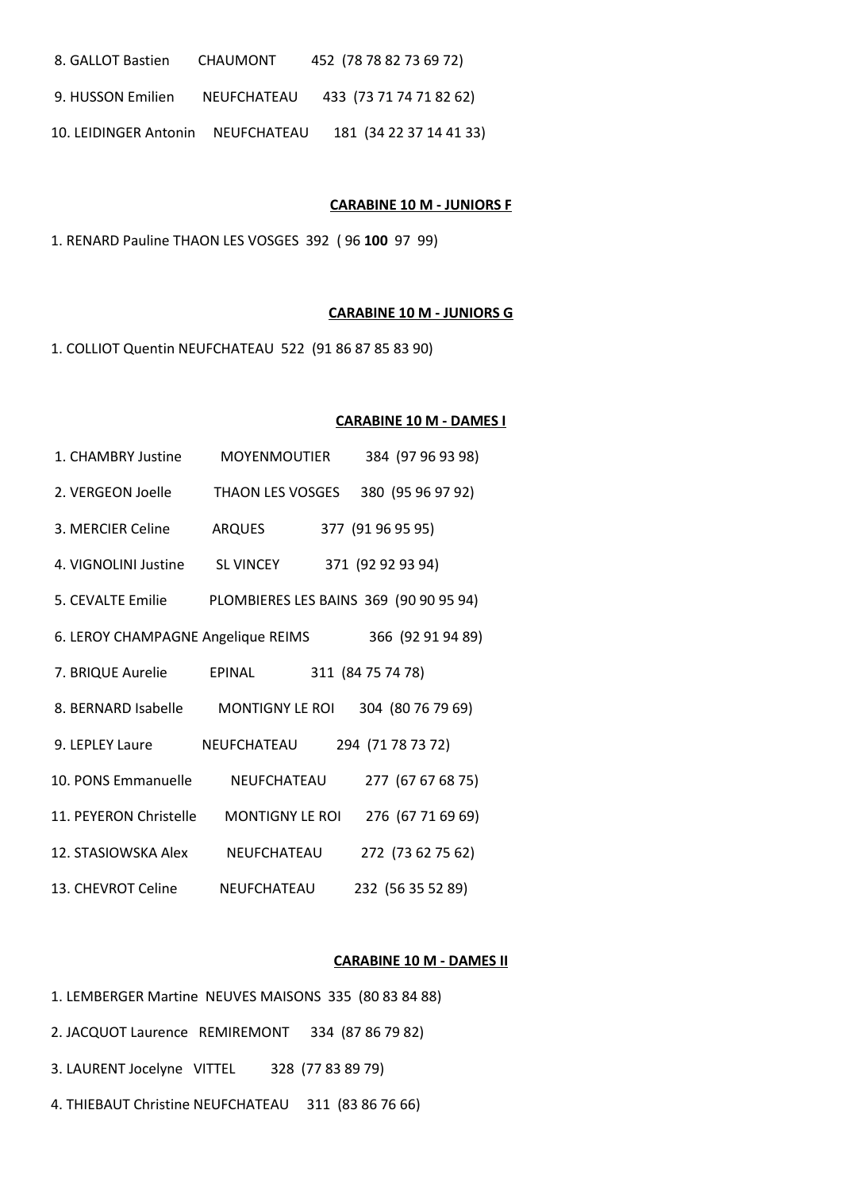| 8. GALLOT Bastien | <b>CHAUMONT</b> | 452 (78 78 82 73 69 72) |
|-------------------|-----------------|-------------------------|
|-------------------|-----------------|-------------------------|

- 9. HUSSON Emilien NEUFCHATEAU 433 (73 71 74 71 82 62)
- 10. LEIDINGER Antonin NEUFCHATEAU 181 (34 22 37 14 41 33)

#### **CARABINE 10 M - JUNIORS F**

1. RENARD Pauline THAON LES VOSGES 392 ( 96 **100** 97 99)

#### **CARABINE 10 M - JUNIORS G**

1. COLLIOT Quentin NEUFCHATEAU 522 (91 86 87 85 83 90)

#### **CARABINE 10 M - DAMES I**

| 1. CHAMBRY Justine                 | <b>MOYENMOUTIER</b>                    | 384 (97 96 93 98) |
|------------------------------------|----------------------------------------|-------------------|
| 2. VERGEON Joelle                  | <b>THAON LES VOSGES</b>                | 380 (95 96 97 92) |
| 3. MERCIER Celine                  | <b>ARQUES</b>                          | 377 (91 96 95 95) |
| 4. VIGNOLINI Justine               | <b>SL VINCEY</b>                       | 371 (92 92 93 94) |
| 5. CEVALTE Emilie                  | PLOMBIERES LES BAINS 369 (90 90 95 94) |                   |
| 6. LEROY CHAMPAGNE Angelique REIMS |                                        | 366 (92 91 94 89) |
| 7. BRIQUE Aurelie                  | EPINAL                                 | 311 (84 75 74 78) |
| 8. BERNARD Isabelle                | <b>MONTIGNY LE ROL</b>                 | 304 (80 76 79 69) |
| 9. LEPLEY Laure                    | <b>NEUFCHATEAU</b>                     | 294 (71 78 73 72) |
| 10. PONS Emmanuelle                | NEUFCHATEAU                            | 277 (67 67 68 75) |
| 11. PEYERON Christelle             | <b>MONTIGNY LE ROI</b>                 | 276 (67 71 69 69) |
| 12. STASIOWSKA Alex                | NEUFCHATEAU                            | 272 (73 62 75 62) |
| 13. CHEVROT Celine                 | NEUFCHATEAU                            | 232 (56 35 52 89) |

#### **CARABINE 10 M - DAMES II**

- 1. LEMBERGER Martine NEUVES MAISONS 335 (80 83 84 88) 2. JACQUOT Laurence REMIREMONT 334 (87 86 79 82) 3. LAURENT Jocelyne VITTEL 328 (77 83 89 79)
- 4. THIEBAUT Christine NEUFCHATEAU 311 (83 86 76 66)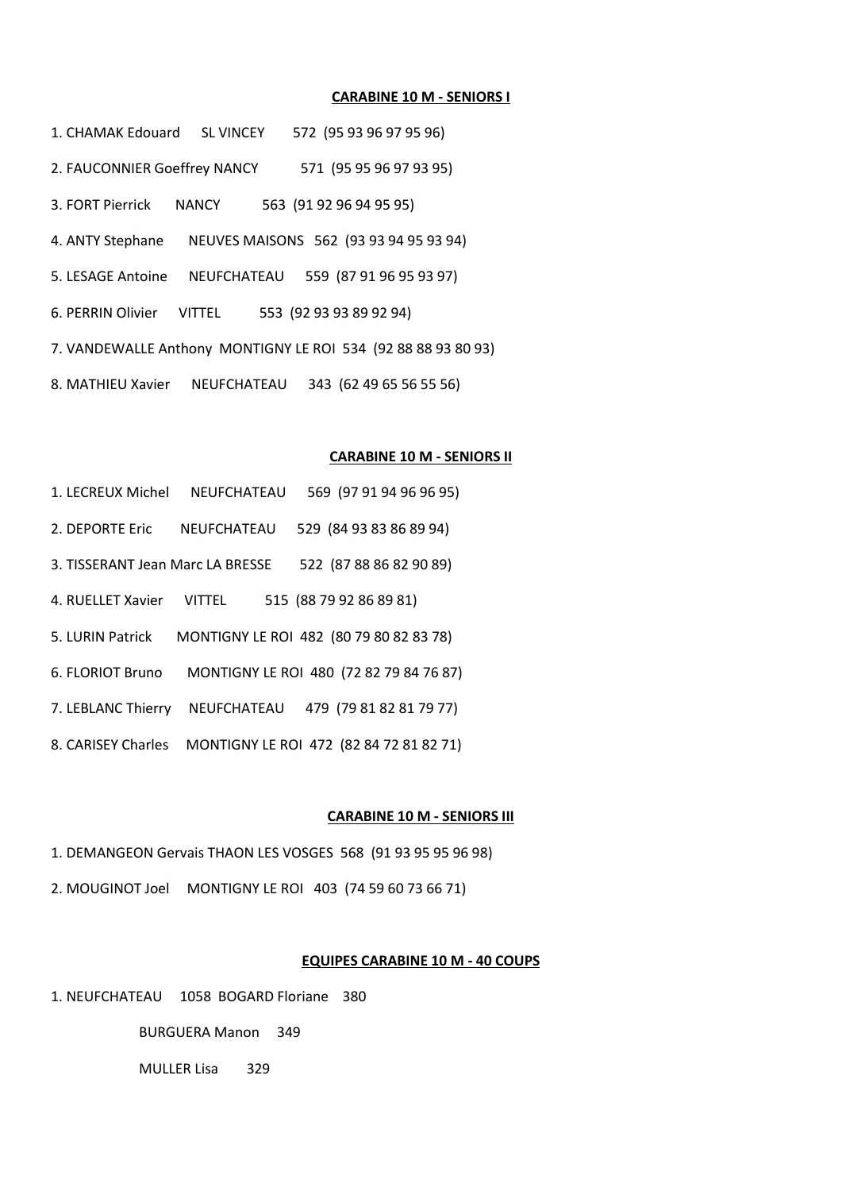#### **CARABINE 10 M - SENIORS I**

1. CHAMAK Edouard SL VINCEY 572 (95 93 96 97 95 96) 2. FAUCONNIER Goeffrey NANCY 571 (95 95 96 97 93 95) 3. FORT Pierrick NANCY 563 (91 92 96 94 95 95) 4. ANTY Stephane NEUVES MAISONS 562 (93 93 94 95 93 94) 5. LESAGE Antoine NEUFCHATEAU 559 (87 91 96 95 93 97) 6. PERRIN Olivier VITTEL 553 (92 93 93 89 92 94) 7. VANDEWALLE Anthony MONTIGNY LE ROI 534 (92 88 88 93 80 93) 8. MATHIEU Xavier NEUFCHATEAU 343 (62 49 65 56 55 56)

#### **CARABINE 10 M - SENIORS II**

- 1. LECREUX Michel NEUFCHATEAU 569 (97 91 94 96 96 95)
- 2. DEPORTE Eric NEUFCHATEAU 529 (84 93 83 86 89 94)
- 3. TISSERANT Jean Marc LA BRESSE 522 (87 88 86 82 90 89)
- 4. RUELLET Xavier VITTEL 515 (88 79 92 86 89 81)
- 5. LURIN Patrick MONTIGNY LE ROI 482 (80 79 80 82 83 78)
- 6. FLORIOT Bruno MONTIGNY LE ROI 480 (72 82 79 84 76 87)
- 7. LEBLANC Thierry NEUFCHATEAU 479 (79 81 82 81 79 77)
- 8. CARISEY Charles MONTIGNY LE ROI 472 (82 84 72 81 82 71)

#### **CARABINE 10 M - SENIORS III**

- 1. DEMANGEON Gervais THAON LES VOSGES 568 (91 93 95 95 96 98)
- 2. MOUGINOT Joel MONTIGNY LE ROI 403 (74 59 60 73 66 71)

# **EQUIPES CARABINE 10 M - 40 COUPS**

1. NEUFCHATEAU 1058 BOGARD Floriane 380

BURGUERA Manon 349

MULLER Lisa 329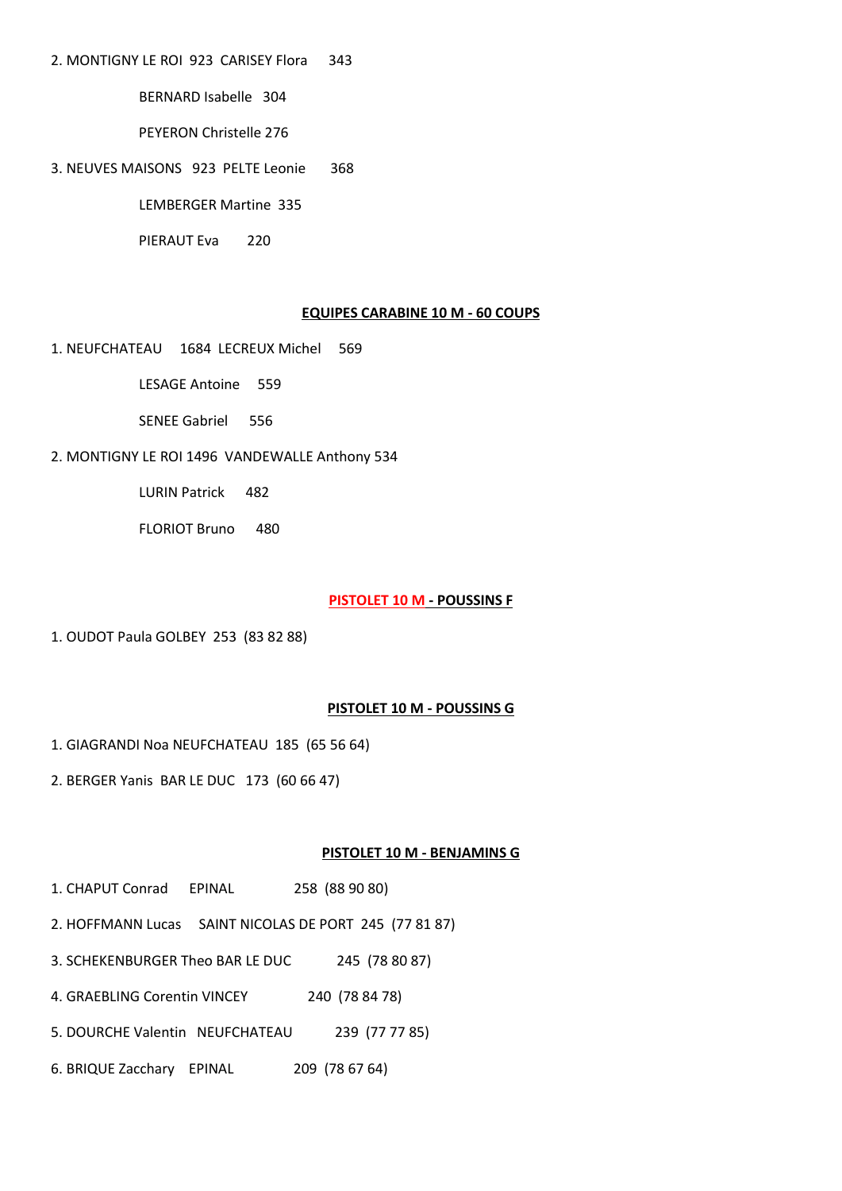2. MONTIGNY LE ROI 923 CARISEY Flora 343

BERNARD Isabelle 304

PEYERON Christelle 276

3. NEUVES MAISONS 923 PELTE Leonie 368

LEMBERGER Martine 335

PIERAUT Eva 220

# **EQUIPES CARABINE 10 M - 60 COUPS**

1. NEUFCHATEAU 1684 LECREUX Michel 569

LESAGE Antoine 559

SENEE Gabriel 556

2. MONTIGNY LE ROI 1496 VANDEWALLE Anthony 534

LURIN Patrick 482

FLORIOT Bruno 480

#### **PISTOLET 10 M - POUSSINS F**

1. OUDOT Paula GOLBEY 253 (83 82 88)

# **PISTOLET 10 M - POUSSINS G**

1. GIAGRANDI Noa NEUFCHATEAU 185 (65 56 64)

2. BERGER Yanis BAR LE DUC 173 (60 66 47)

# **PISTOLET 10 M - BENJAMINS G**

- 1. CHAPUT Conrad EPINAL 258 (88 90 80)
- 2. HOFFMANN Lucas SAINT NICOLAS DE PORT 245 (77 81 87)

3. SCHEKENBURGER Theo BAR LE DUC 245 (78 80 87)

4. GRAEBLING Corentin VINCEY 240 (78 84 78)

- 5. DOURCHE Valentin NEUFCHATEAU 239 (77 77 85)
- 6. BRIQUE Zacchary EPINAL 209 (78 67 64)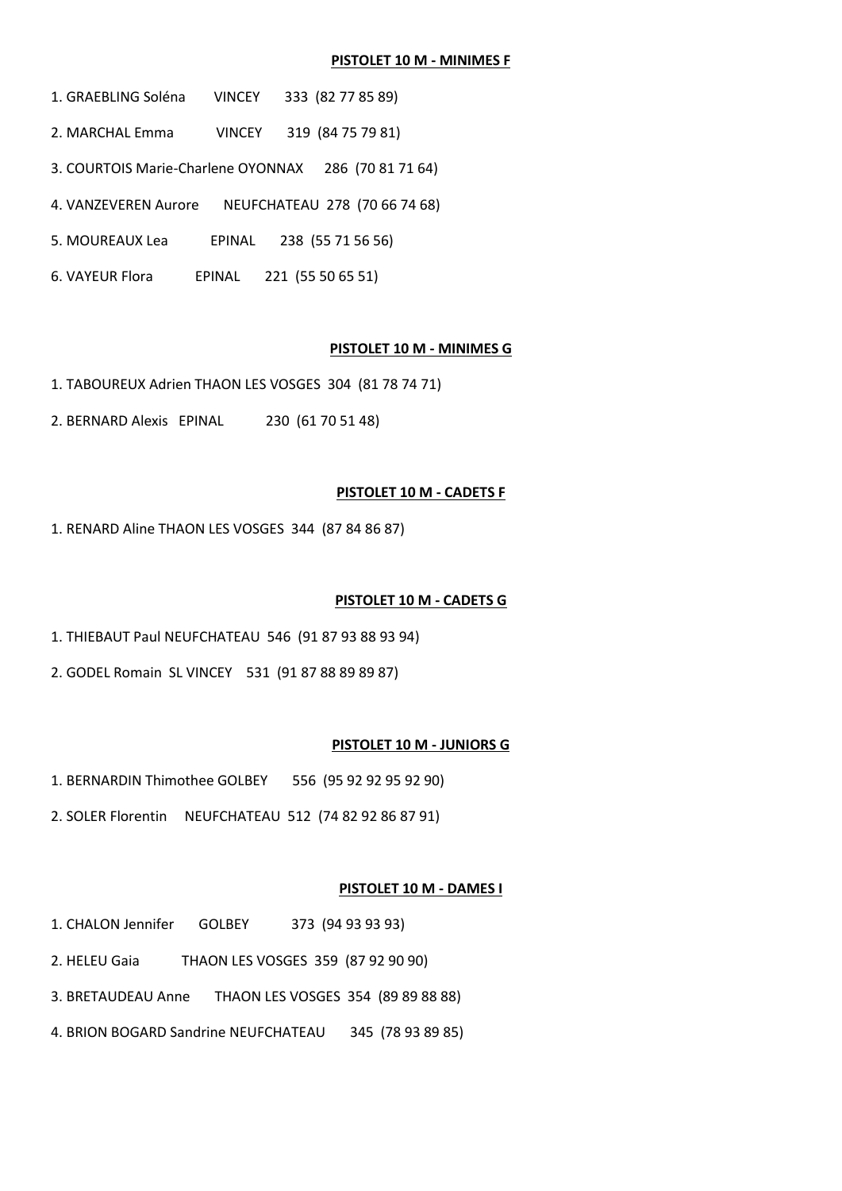#### PISTOLET 10 M - MINIMES F

- 1. GRAEBLING Soléna **VINCEY** 333 (82 77 85 89)
- 2. MARCHAL Emma VINCEY 319 (84 75 79 81)
- 3. COURTOIS Marie-Charlene OYONNAX 286 (70 81 71 64)
- 4. VANZEVEREN Aurore NEUFCHATEAU 278 (70 66 74 68)
- EPINAL 238 (55 71 56 56) 5. MOUREAUX Lea
- 6. VAYEUR Flora EPINAL 221 (55 50 65 51)

### PISTOLET 10 M - MINIMES G

- 1. TABOUREUX Adrien THAON LES VOSGES 304 (81 78 74 71)
- 2. BERNARD Alexis EPINAL 230 (61 70 51 48)

#### PISTOLET 10 M - CADETS F

1. RENARD Aline THAON LES VOSGES 344 (87 84 86 87)

#### PISTOLET 10 M - CADETS G

- 1. THIEBAUT Paul NEUFCHATEAU 546 (91 87 93 88 93 94)
- 2. GODEL Romain SL VINCEY 531 (91 87 88 89 89 87)

#### PISTOLET 10 M - JUNIORS G

- 1. BERNARDIN Thimothee GOLBEY 556 (95 92 92 95 92 90)
- 2. SOLER Florentin NEUFCHATEAU 512 (74 82 92 86 87 91)

#### PISTOLET 10 M - DAMES I

- 1. CHALON Jennifer GOLBEY 373 (94 93 93 93)
- 2. HELEU Gaia THAON LES VOSGES 359 (87 92 90 90)
- 3. BRETAUDEAU Anne THAON LES VOSGES 354 (89 89 88 88)
- 4. BRION BOGARD Sandrine NEUFCHATEAU 345 (78 93 89 85)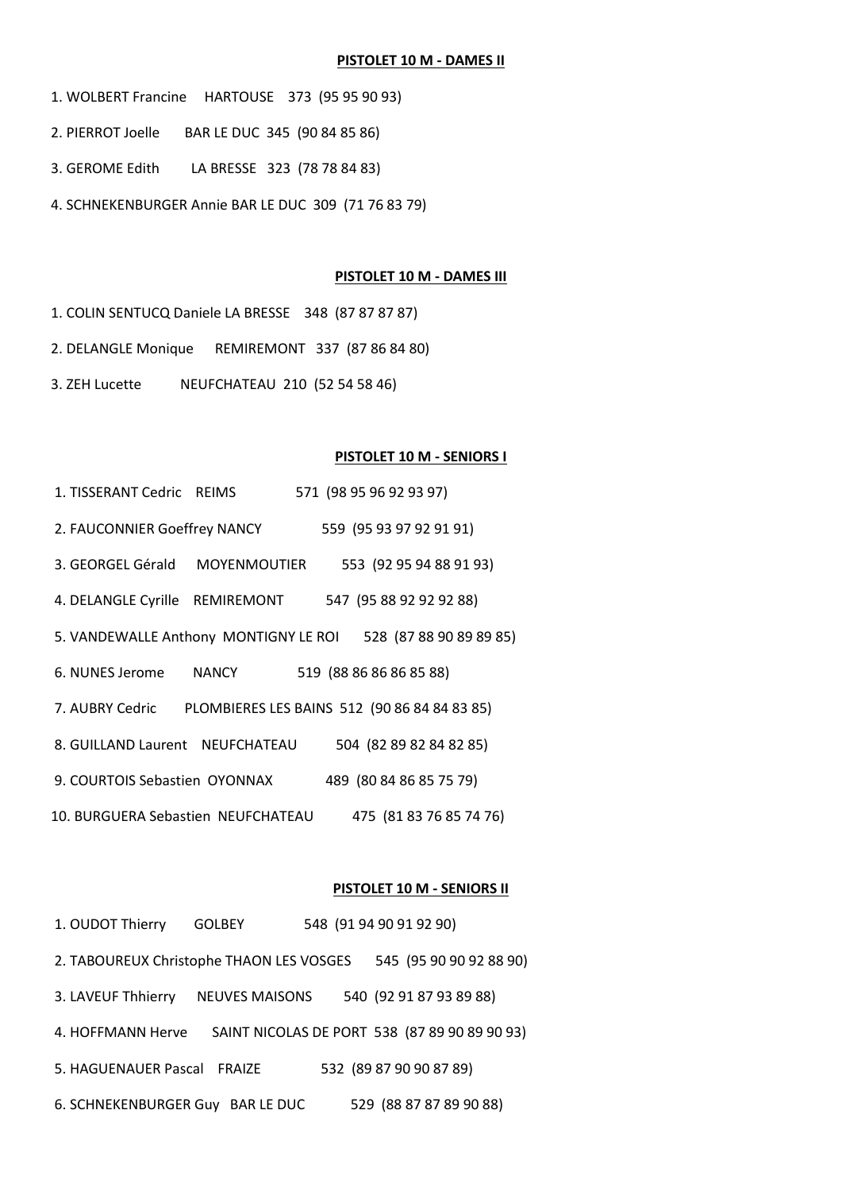# **PISTOLET 10 M - DAMES II**

- 1. WOLBERT Francine HARTOUSE 373 (95 95 90 93)
- 2. PIERROT Joelle BAR LE DUC 345 (90 84 85 86)
- 3. GEROME Edith LA BRESSE 323 (78 78 84 83)
- 4. SCHNEKENBURGER Annie BAR LE DUC 309 (71 76 83 79)

# **PISTOLET 10 M - DAMES III**

- 1. COLIN SENTUCQ Daniele LA BRESSE 348 (87 87 87 87)
- 2. DELANGLE Monique REMIREMONT 337 (87 86 84 80)
- 3. ZEH Lucette NEUFCHATEAU 210 (52 54 58 46)

# **PISTOLET 10 M - SENIORS I**

| 1. TISSERANT Cedric REIMS             |                                              | 571 (98 95 96 92 93 97) |  |
|---------------------------------------|----------------------------------------------|-------------------------|--|
| 2. FAUCONNIER Goeffrey NANCY          |                                              | 559 (95 93 97 92 91 91) |  |
| 3. GEORGEL Gérald                     | MOYENMOUTIER                                 | 553 (92 95 94 88 91 93) |  |
| 4. DELANGLE Cyrille REMIREMONT        |                                              | 547 (95 88 92 92 92 88) |  |
| 5. VANDEWALLE Anthony MONTIGNY LE ROI |                                              | 528 (87 88 90 89 89 85) |  |
| 6. NUNES Jerome                       | NANCY                                        | 519 (88 86 86 86 85 88) |  |
| 7. AUBRY Cedric                       | PLOMBIERES LES BAINS 512 (90 86 84 84 83 85) |                         |  |
| 8. GUILLAND Laurent NEUFCHATEAU       |                                              | 504 (82 89 82 84 82 85) |  |
| 9. COURTOIS Sebastien OYONNAX         |                                              | 489 (80 84 86 85 75 79) |  |
| 10. BURGUERA Sebastien NEUFCHATEAU    |                                              | 475 (81 83 76 85 74 76) |  |

# **PISTOLET 10 M - SENIORS II**

| 1. OUDOT Thierry                         | <b>GOLBEY</b>         | 548 (91 94 90 91 92 90)                       |  |
|------------------------------------------|-----------------------|-----------------------------------------------|--|
| 2. TABOUREUX Christophe THAON LES VOSGES |                       | 545 (95 90 90 92 88 90)                       |  |
| 3. LAVEUF Thhierry                       | <b>NEUVES MAISONS</b> | 540 (92 91 87 93 89 88)                       |  |
| 4. HOFFMANN Herve                        |                       | SAINT NICOLAS DE PORT 538 (87 89 90 89 90 93) |  |
| 5. HAGUENAUER Pascal FRAIZE              |                       | 532 (89 87 90 90 87 89)                       |  |
| 6. SCHNEKENBURGER Guy BAR LE DUC         |                       | 529 (88 87 87 89 90 88)                       |  |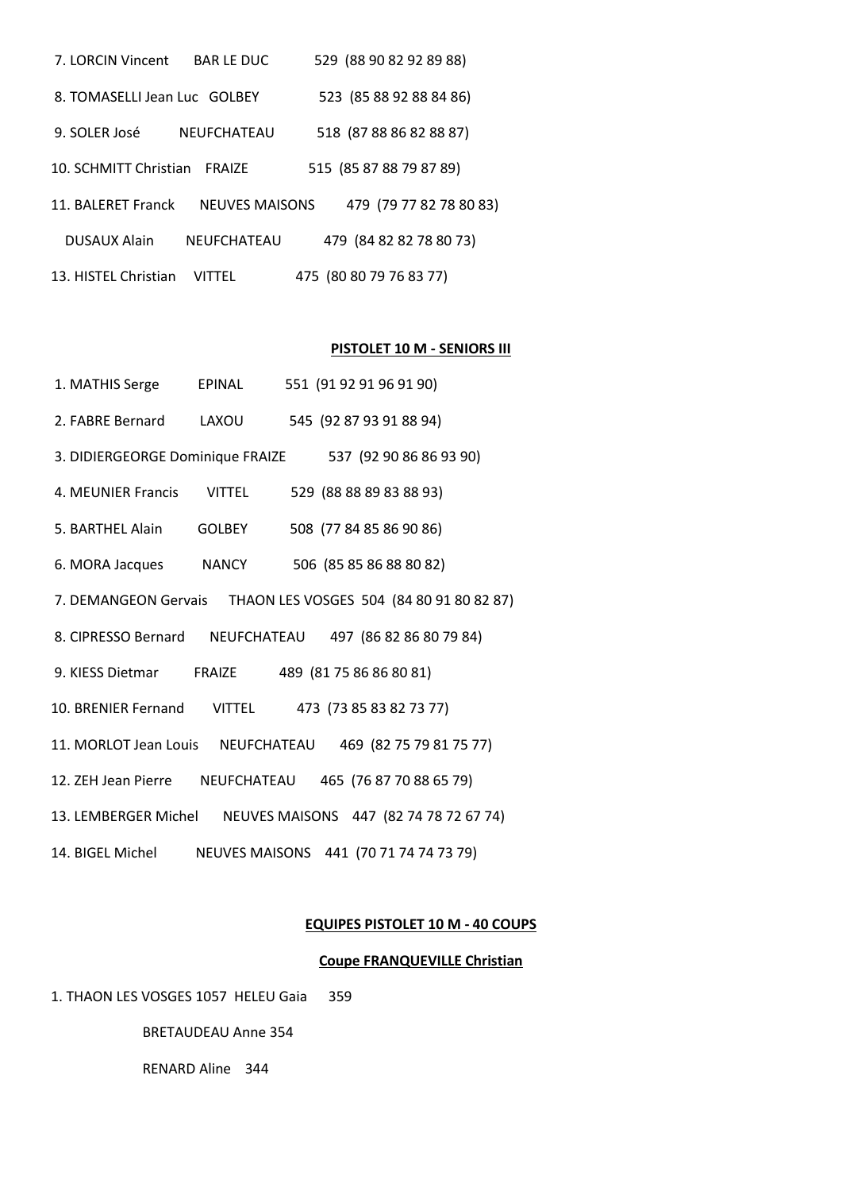| 7. LORCIN Vincent            | <b>BARLE DUC</b>      | 529 (88 90 82 92 89 88) |  |
|------------------------------|-----------------------|-------------------------|--|
| 8. TOMASELLI Jean Luc GOLBEY |                       | 523 (85 88 92 88 84 86) |  |
| 9. SOLER José                | <b>NEUFCHATEAU</b>    | 518 (87 88 86 82 88 87) |  |
| 10. SCHMITT Christian        | FRAIZE                | 515 (85 87 88 79 87 89) |  |
| 11. BALFRFT Franck           | <b>NEUVES MAISONS</b> | 479 (79 77 82 78 80 83) |  |
| <b>DUSAUX Alain</b>          | <b>NEUFCHATEAU</b>    | 479 (84 82 82 78 80 73) |  |
| 13. HISTEL Christian         | VITTFL                | 475 (80 80 79 76 83 77) |  |

# **PISTOLET 10 M - SENIORS III**

| 1. MATHIS Serge           | EPINAL | 551 (91 92 91 96 91 90)                                       |
|---------------------------|--------|---------------------------------------------------------------|
| 2. FABRE Bernard          | LAXOU  | 545 (92 87 93 91 88 94)                                       |
|                           |        | 3. DIDIERGEORGE Dominique FRAIZE 537 (92 90 86 86 93 90)      |
| 4. MEUNIER Francis VITTEL |        | 529 (88 88 89 83 88 93)                                       |
| 5. BARTHEL Alain          | GOLBEY | 508 (77 84 85 86 90 86)                                       |
|                           |        | 6. MORA Jacques NANCY 506 (85 85 86 88 80 82)                 |
|                           |        | 7. DEMANGEON Gervais THAON LES VOSGES 504 (84 80 91 80 82 87) |
|                           |        | 8. CIPRESSO Bernard NEUFCHATEAU 497 (86 82 86 80 79 84)       |
|                           |        | 9. KIESS Dietmar FRAIZE 489 (81 75 86 86 80 81)               |
|                           |        | 10. BRENIER Fernand VITTEL 473 (73 85 83 82 73 77)            |
|                           |        | 11. MORLOT Jean Louis NEUFCHATEAU 469 (82 75 79 81 75 77)     |
|                           |        | 12. ZEH Jean Pierre NEUFCHATEAU 465 (76 87 70 88 65 79)       |
|                           |        | 13. LEMBERGER Michel NEUVES MAISONS 447 (82 74 78 72 67 74)   |
|                           |        | 14. BIGEL Michel NEUVES MAISONS 441 (70 71 74 74 73 79)       |

# **EQUIPES PISTOLET 10 M - 40 COUPS**

# **Coupe FRANQUEVILLE Christian**

1. THAON LES VOSGES 1057 HELEU Gaia 359

BRETAUDEAU Anne 354

RENARD Aline 344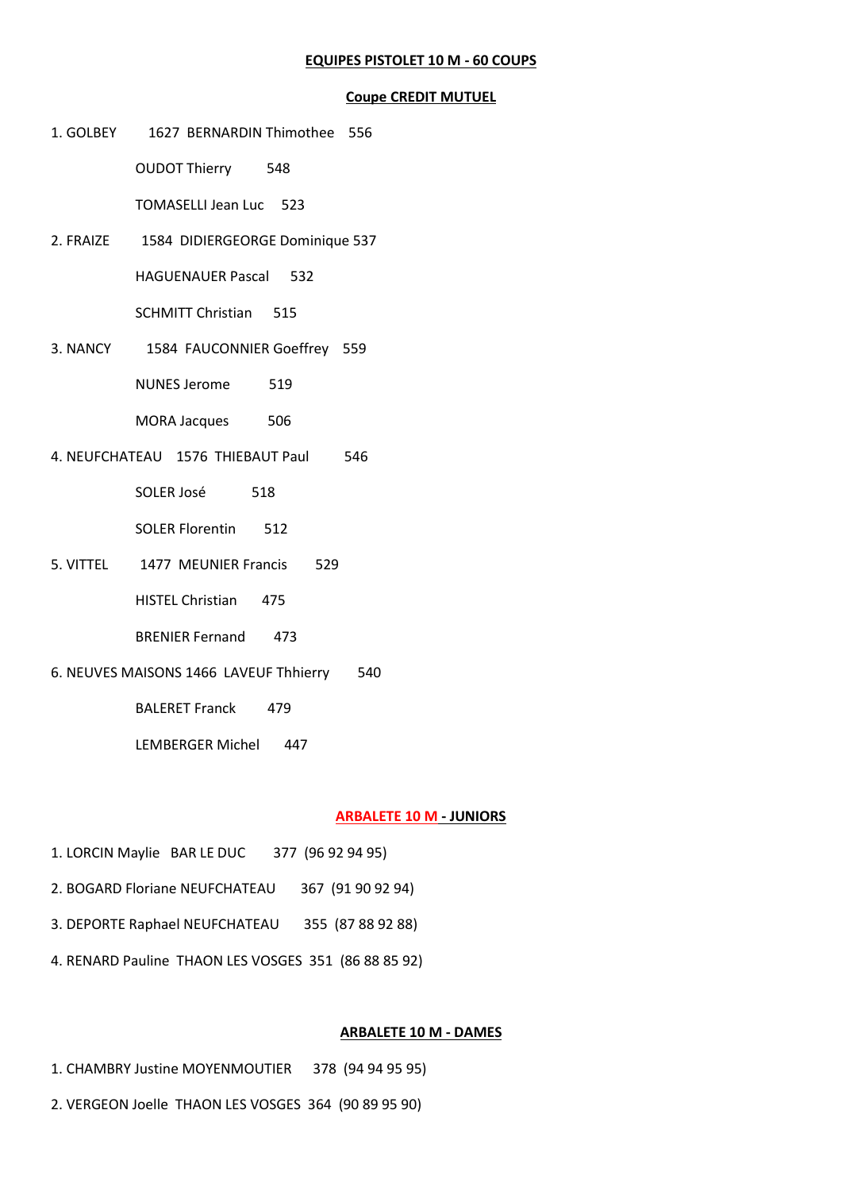# **EQUIPES PISTOLET 10 M - 60 COUPS**

#### **Coupe CREDIT MUTUEL**

1. GOLBEY 1627 BERNARDIN Thimothee 556

OUDOT Thierry 548

TOMASELLI Jean Luc 523

2. FRAIZE 1584 DIDIERGEORGE Dominique 537

HAGUENAUER Pascal 532

SCHMITT Christian 515

3. NANCY 1584 FAUCONNIER Goeffrey 559

NUNES Jerome 519

MORA Jacques 506

4. NEUFCHATEAU 1576 THIEBAUT Paul 546

SOLER José 518

SOLER Florentin 512

5. VITTEL 1477 MEUNIER Francis 529

HISTEL Christian 475

- BRENIER Fernand 473
- 6. NEUVES MAISONS 1466 LAVEUF Thhierry 540

BALERET Franck 479

LEMBERGER Michel 447

# **ARBALETE 10 M - JUNIORS**

- 1. LORCIN Maylie BAR LE DUC 377 (96 92 94 95)
- 2. BOGARD Floriane NEUFCHATEAU 367 (91 90 92 94)
- 3. DEPORTE Raphael NEUFCHATEAU 355 (87 88 92 88)
- 4. RENARD Pauline THAON LES VOSGES 351 (86 88 85 92)

# **ARBALETE 10 M - DAMES**

- 1. CHAMBRY Justine MOYENMOUTIER 378 (94 94 95 95)
- 2. VERGEON Joelle THAON LES VOSGES 364 (90 89 95 90)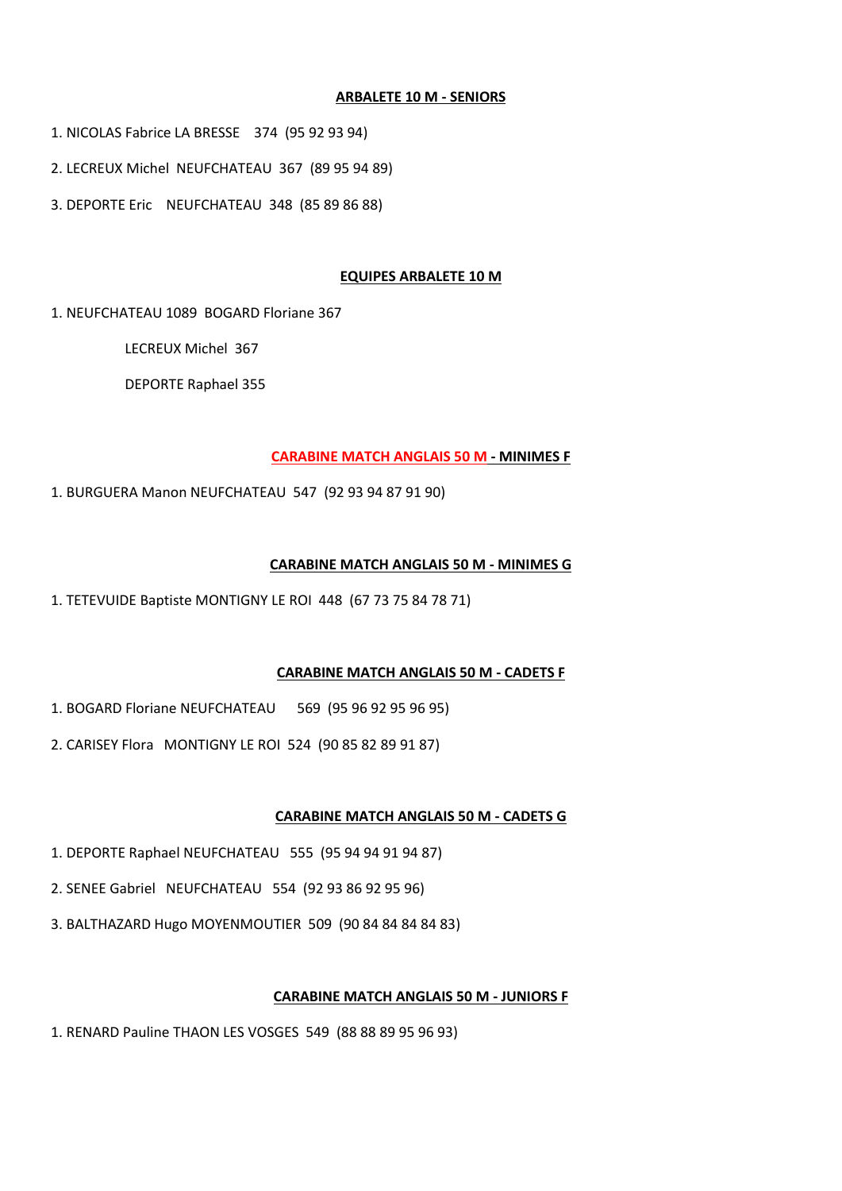# **ARBALETE 10 M - SENIORS**

1. NICOLAS Fabrice LA BRESSE 374 (95 92 93 94)

2. LECREUX Michel NEUFCHATEAU 367 (89 95 94 89)

3. DEPORTE Eric NEUFCHATEAU 348 (85 89 86 88)

# **EQUIPES ARBALETE 10 M**

1. NEUFCHATEAU 1089 BOGARD Floriane 367

LECREUX Michel 367

DEPORTE Raphael 355

# **CARABINE MATCH ANGLAIS 50 M - MINIMES F**

1. BURGUERA Manon NEUFCHATEAU 547 (92 93 94 87 91 90)

# **CARABINE MATCH ANGLAIS 50 M - MINIMES G**

1. TETEVUIDE Baptiste MONTIGNY LE ROI 448 (67 73 75 84 78 71)

# **CARABINE MATCH ANGLAIS 50 M - CADETS F**

1. BOGARD Floriane NEUFCHATEAU 569 (95 96 92 95 96 95)

2. CARISEY Flora MONTIGNY LE ROI 524 (90 85 82 89 91 87)

# **CARABINE MATCH ANGLAIS 50 M - CADETS G**

- 1. DEPORTE Raphael NEUFCHATEAU 555 (95 94 94 91 94 87)
- 2. SENEE Gabriel NEUFCHATEAU 554 (92 93 86 92 95 96)
- 3. BALTHAZARD Hugo MOYENMOUTIER 509 (90 84 84 84 84 83)

# **CARABINE MATCH ANGLAIS 50 M - JUNIORS F**

1. RENARD Pauline THAON LES VOSGES 549 (88 88 89 95 96 93)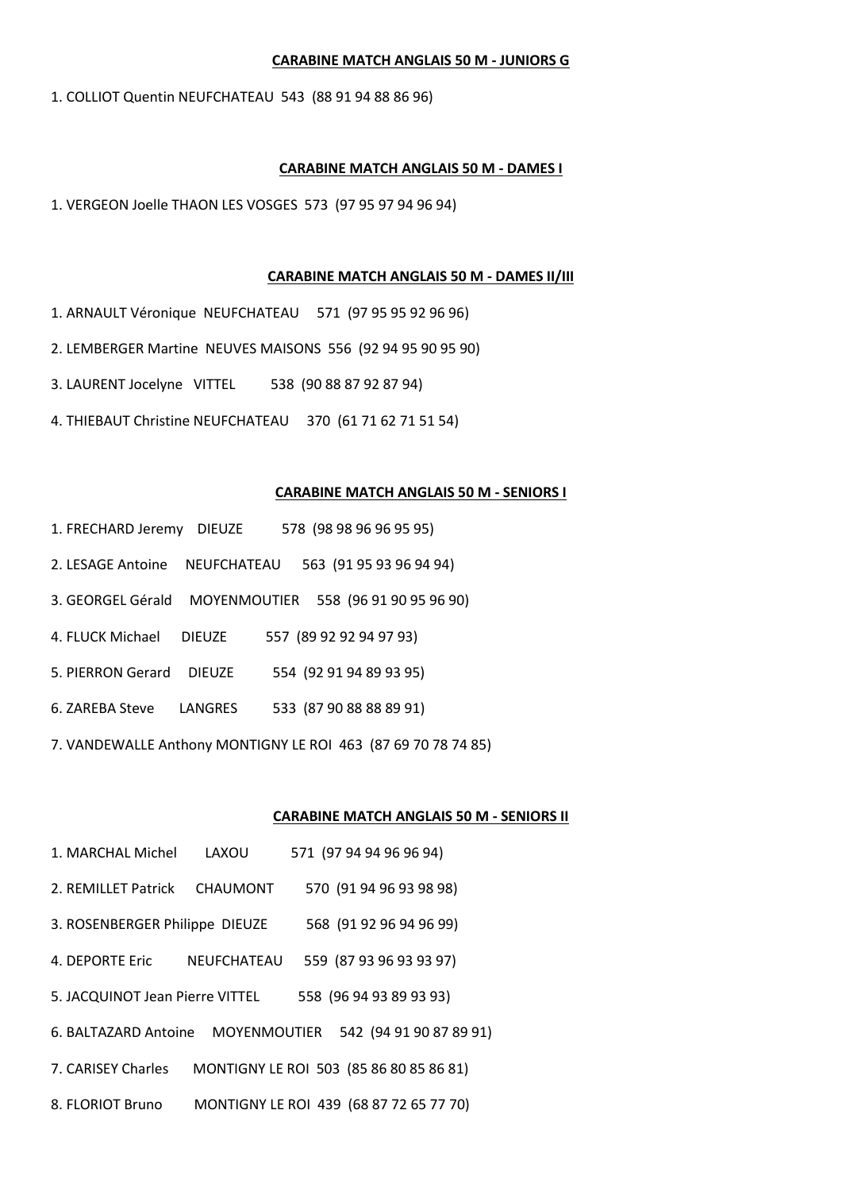#### **CARABINE MATCH ANGLAIS 50 M - JUNIORS G**

1. COLLIOT Quentin NEUFCHATEAU 543 (88 91 94 88 86 96)

#### **CARABINE MATCH ANGLAIS 50 M - DAMES I**

1. VERGEON Joelle THAON LES VOSGES 573 (97 95 97 94 96 94)

#### **CARABINE MATCH ANGLAIS 50 M - DAMES II/III**

- 1. ARNAULT Véronique NEUFCHATEAU 571 (97 95 95 92 96 96)
- 2. LEMBERGER Martine NEUVES MAISONS 556 (92 94 95 90 95 90)
- 3. LAURENT Jocelyne VITTEL 538 (90 88 87 92 87 94)
- 4. THIEBAUT Christine NEUFCHATEAU 370 (61 71 62 71 51 54)

#### **CARABINE MATCH ANGLAIS 50 M - SENIORS I**

- 1. FRECHARD Jeremy DIEUZE 578 (98 98 96 96 95 95)
- 2. LESAGE Antoine NEUFCHATEAU 563 (91 95 93 96 94 94)
- 3. GEORGEL Gérald MOYENMOUTIER 558 (96 91 90 95 96 90)
- 4. FLUCK Michael DIEUZE 557 (89 92 92 94 97 93)
- 5. PIERRON Gerard DIEUZE 554 (92 91 94 89 93 95)
- 6. ZAREBA Steve LANGRES 533 (87 90 88 88 89 91)
- 7. VANDEWALLE Anthony MONTIGNY LE ROI 463 (87 69 70 78 74 85)

#### **CARABINE MATCH ANGLAIS 50 M - SENIORS II**

1. MARCHAL Michel LAXOU 571 (97 94 94 96 96 94) 2. REMILLET Patrick CHAUMONT 570 (91 94 96 93 98 98) 3. ROSENBERGER Philippe DIEUZE 568 (91 92 96 94 96 99) 4. DEPORTE Eric NEUFCHATEAU 559 (87 93 96 93 93 97) 5. JACQUINOT Jean Pierre VITTEL 558 (96 94 93 89 93 93) 6. BALTAZARD Antoine MOYENMOUTIER 542 (94 91 90 87 89 91) 7. CARISEY Charles MONTIGNY LE ROI 503 (85 86 80 85 86 81) 8. FLORIOT Bruno MONTIGNY LE ROI 439 (68 87 72 65 77 70)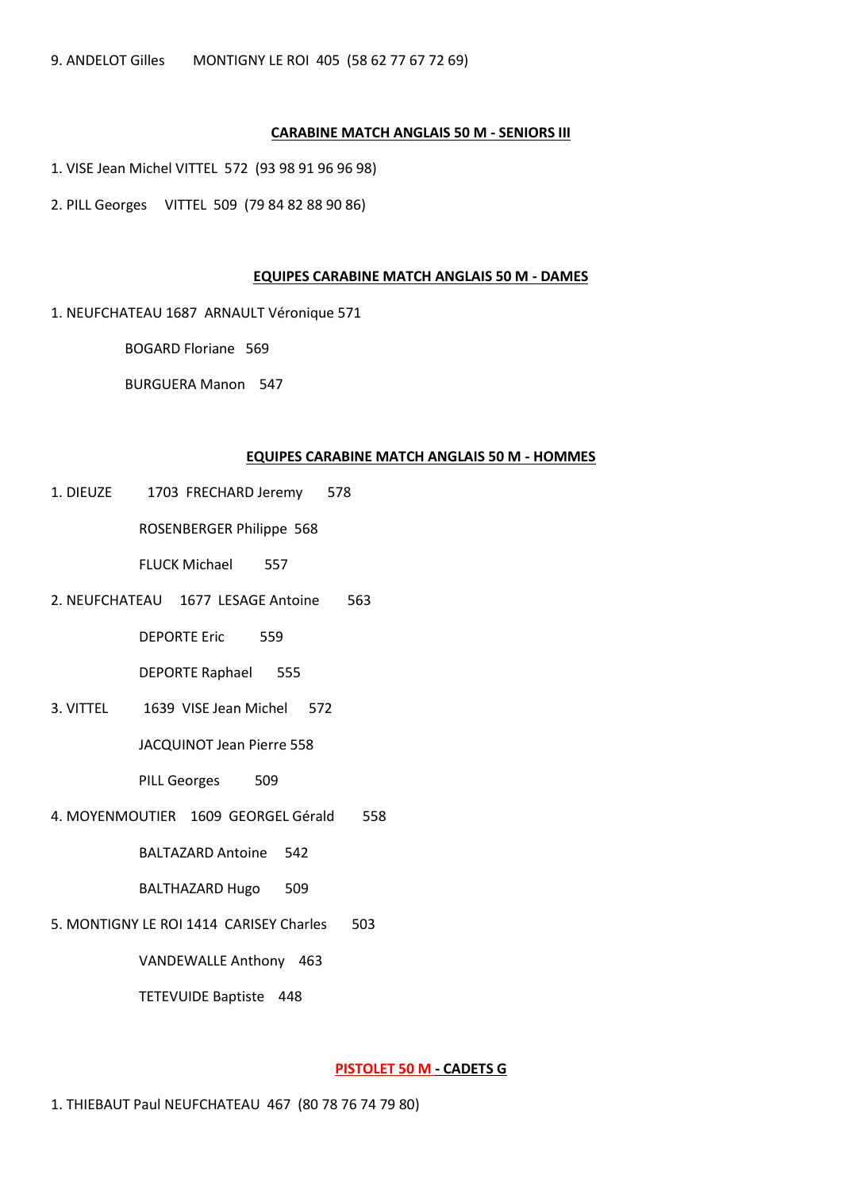# **CARABINE MATCH ANGLAIS 50 M - SENIORS III**

- 1. VISE Jean Michel VITTEL 572 (93 98 91 96 96 98)
- 2. PILL Georges VITTEL 509 (79 84 82 88 90 86)

#### **EQUIPES CARABINE MATCH ANGLAIS 50 M - DAMES**

1. NEUFCHATEAU 1687 ARNAULT Véronique 571

BOGARD Floriane 569

BURGUERA Manon 547

#### **EQUIPES CARABINE MATCH ANGLAIS 50 M - HOMMES**

1. DIEUZE 1703 FRECHARD Jeremy 578

ROSENBERGER Philippe 568

FLUCK Michael 557

2. NEUFCHATEAU 1677 LESAGE Antoine 563

DEPORTE Eric 559

DEPORTE Raphael 555

3. VITTEL 1639 VISE Jean Michel 572

JACQUINOT Jean Pierre 558

PILL Georges 509

4. MOYENMOUTIER 1609 GEORGEL Gérald 558

BALTAZARD Antoine 542

BALTHAZARD Hugo 509

5. MONTIGNY LE ROI 1414 CARISEY Charles 503

VANDEWALLE Anthony 463

TETEVUIDE Baptiste 448

**PISTOLET 50 M - CADETS G**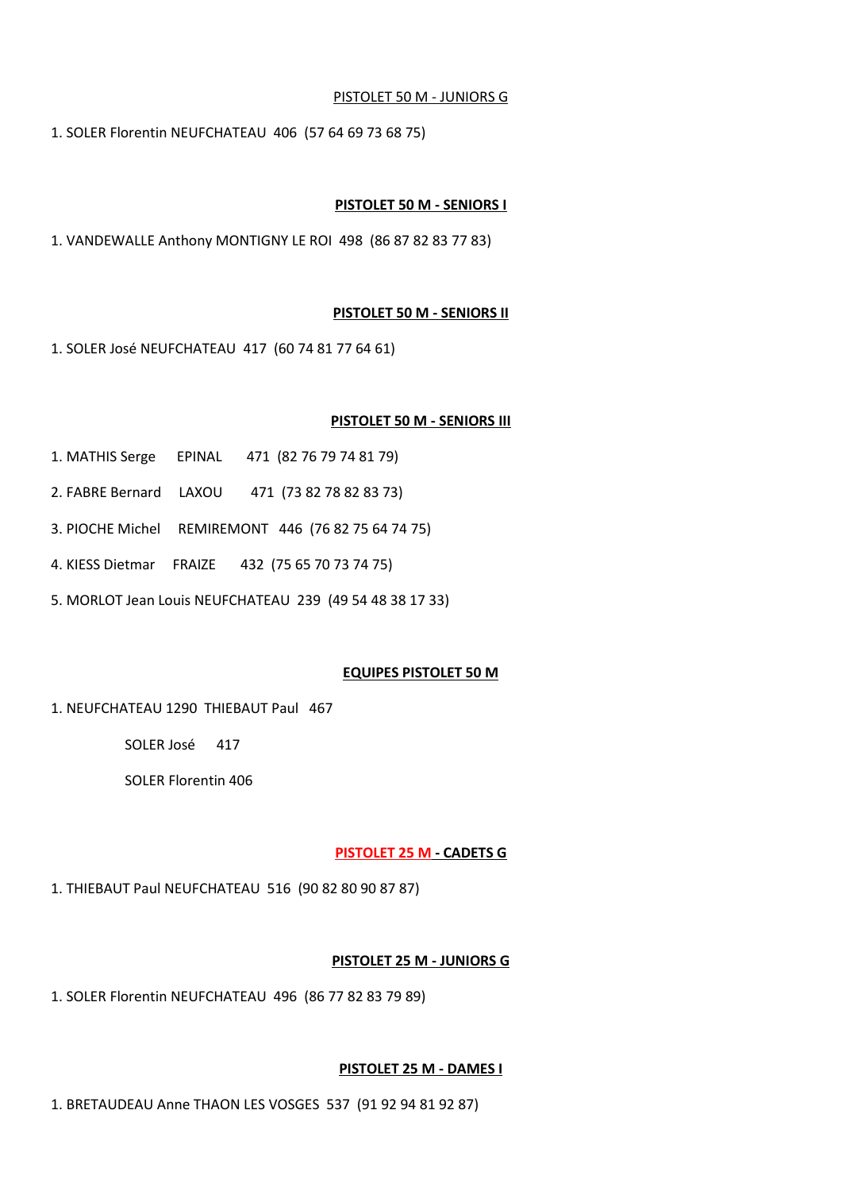# PISTOLET 50 M - JUNIORS G

1. SOLER Florentin NEUFCHATEAU 406 (57 64 69 73 68 75)

# **PISTOLET 50 M - SENIORS I**

1. VANDEWALLE Anthony MONTIGNY LE ROI 498 (86 87 82 83 77 83)

# **PISTOLET 50 M - SENIORS II**

1. SOLER José NEUFCHATEAU 417 (60 74 81 77 64 61)

# **PISTOLET 50 M - SENIORS III**

- 1. MATHIS Serge EPINAL 471 (82 76 79 74 81 79)
- 2. FABRE Bernard LAXOU 471 (73 82 78 82 83 73)
- 3. PIOCHE Michel REMIREMONT 446 (76 82 75 64 74 75)
- 4. KIESS Dietmar FRAIZE 432 (75 65 70 73 74 75)
- 5. MORLOT Jean Louis NEUFCHATEAU 239 (49 54 48 38 17 33)

# **EQUIPES PISTOLET 50 M**

1. NEUFCHATEAU 1290 THIEBAUT Paul 467

SOLER José 417

SOLER Florentin 406

# **PISTOLET 25 M - CADETS G**

1. THIEBAUT Paul NEUFCHATEAU 516 (90 82 80 90 87 87)

# **PISTOLET 25 M - JUNIORS G**

1. SOLER Florentin NEUFCHATEAU 496 (86 77 82 83 79 89)

# **PISTOLET 25 M - DAMES I**

1. BRETAUDEAU Anne THAON LES VOSGES 537 (91 92 94 81 92 87)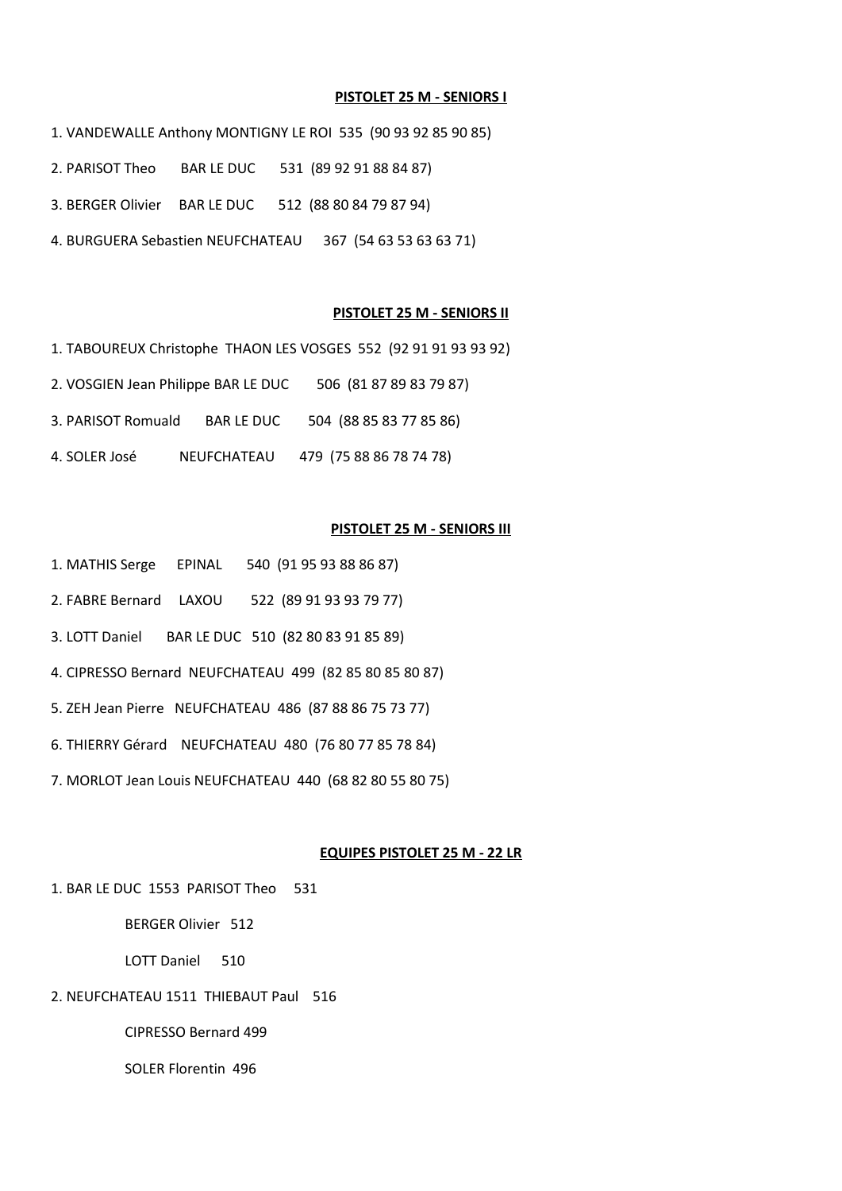#### **PISTOLET 25 M - SENIORS I**

- 1. VANDEWALLE Anthony MONTIGNY LE ROI 535 (90 93 92 85 90 85)
- 2. PARISOT Theo BAR LE DUC 531 (89 92 91 88 84 87)
- 3. BERGER Olivier BAR LE DUC 512 (88 80 84 79 87 94)
- 4. BURGUERA Sebastien NEUFCHATEAU 367 (54 63 53 63 63 71)

#### **PISTOLET 25 M - SENIORS II**

- 1. TABOUREUX Christophe THAON LES VOSGES 552 (92 91 91 93 93 92)
- 2. VOSGIEN Jean Philippe BAR LE DUC 506 (81 87 89 83 79 87)
- 3. PARISOT Romuald BAR LE DUC 504 (88 85 83 77 85 86)
- 4. SOLER José NEUFCHATEAU 479 (75 88 86 78 74 78)

#### **PISTOLET 25 M - SENIORS III**

- 1. MATHIS Serge EPINAL 540 (91 95 93 88 86 87)
- 2. FABRE Bernard LAXOU 522 (89 91 93 93 79 77)
- 3. LOTT Daniel BAR LE DUC 510 (82 80 83 91 85 89)
- 4. CIPRESSO Bernard NEUFCHATEAU 499 (82 85 80 85 80 87)
- 5. ZEH Jean Pierre NEUFCHATEAU 486 (87 88 86 75 73 77)
- 6. THIERRY Gérard NEUFCHATEAU 480 (76 80 77 85 78 84)
- 7. MORLOT Jean Louis NEUFCHATEAU 440 (68 82 80 55 80 75)

#### **EQUIPES PISTOLET 25 M - 22 LR**

1. BAR LE DUC 1553 PARISOT Theo 531

BERGER Olivier 512

LOTT Daniel 510

# 2. NEUFCHATEAU 1511 THIEBAUT Paul 516

CIPRESSO Bernard 499

SOLER Florentin 496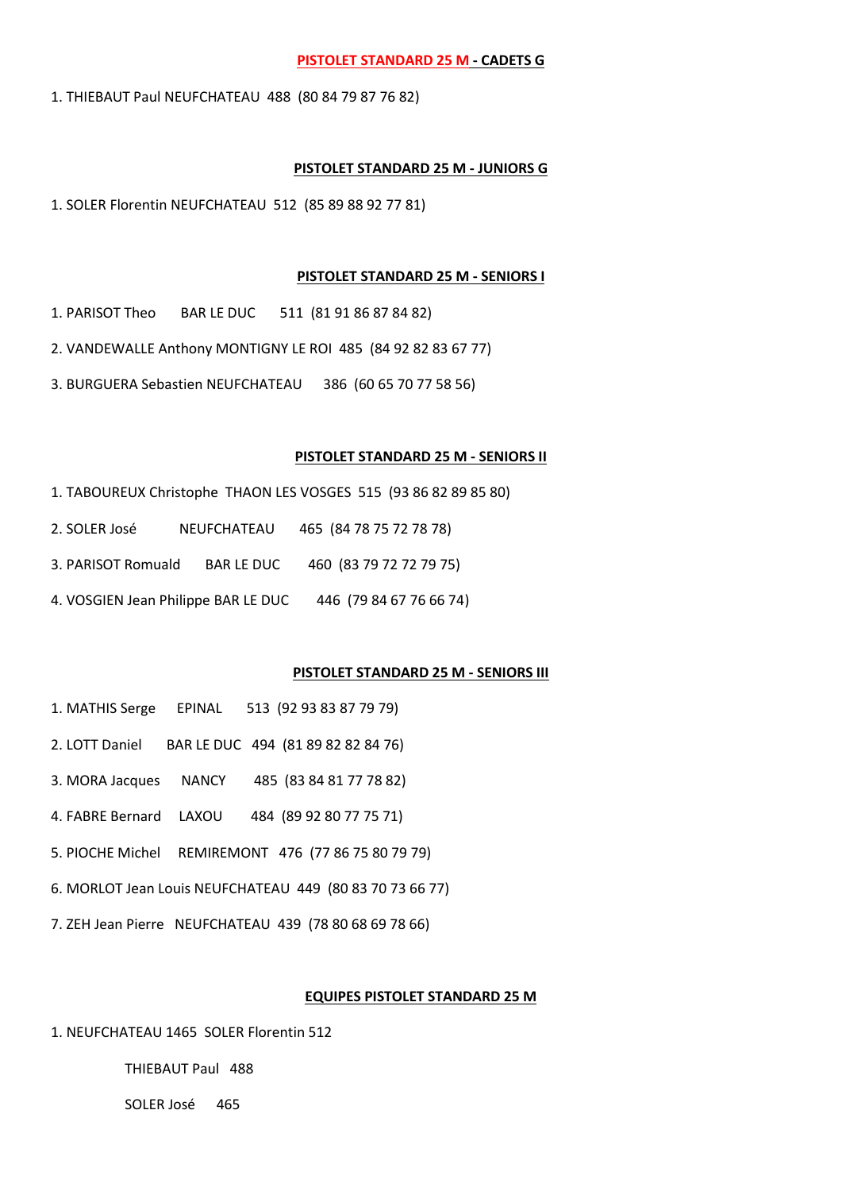#### **PISTOLET STANDARD 25 M - CADETS G**

1. THIEBAUT Paul NEUFCHATEAU 488 (80 84 79 87 76 82)

#### **PISTOLET STANDARD 25 M - JUNIORS G**

1. SOLER Florentin NEUFCHATEAU 512 (85 89 88 92 77 81)

#### **PISTOLET STANDARD 25 M - SENIORS I**

1. PARISOT Theo BAR LE DUC 511 (81 91 86 87 84 82)

- 2. VANDEWALLE Anthony MONTIGNY LE ROI 485 (84 92 82 83 67 77)
- 3. BURGUERA Sebastien NEUFCHATEAU 386 (60 65 70 77 58 56)

#### **PISTOLET STANDARD 25 M - SENIORS II**

- 1. TABOUREUX Christophe THAON LES VOSGES 515 (93 86 82 89 85 80)
- 2. SOLER José NEUFCHATEAU 465 (84 78 75 72 78 78)
- 3. PARISOT Romuald BAR LE DUC 460 (83 79 72 72 79 75)
- 4. VOSGIEN Jean Philippe BAR LE DUC 446 (79 84 67 76 66 74)

# **PISTOLET STANDARD 25 M - SENIORS III**

- 1. MATHIS Serge EPINAL 513 (92 93 83 87 79 79)
- 2. LOTT Daniel BAR LE DUC 494 (81 89 82 82 84 76)
- 3. MORA Jacques NANCY 485 (83 84 81 77 78 82)
- 4. FABRE Bernard LAXOU 484 (89 92 80 77 75 71)
- 5. PIOCHE Michel REMIREMONT 476 (77 86 75 80 79 79)
- 6. MORLOT Jean Louis NEUFCHATEAU 449 (80 83 70 73 66 77)
- 7. ZEH Jean Pierre NEUFCHATEAU 439 (78 80 68 69 78 66)

#### **EQUIPES PISTOLET STANDARD 25 M**

1. NEUFCHATEAU 1465 SOLER Florentin 512

THIEBAUT Paul 488

SOLER José 465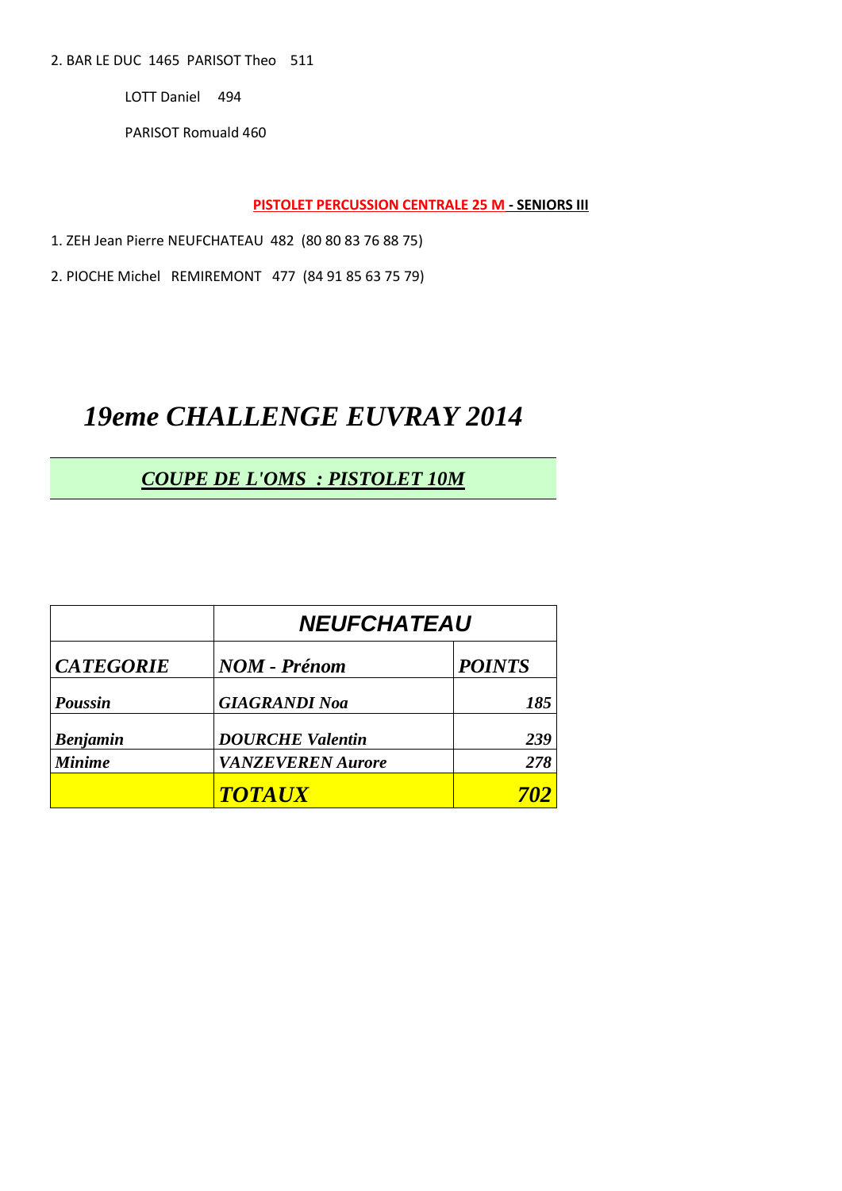2. BAR LE DUC 1465 PARISOT Theo 511

LOTT Daniel 494

PARISOT Romuald 460

**PISTOLET PERCUSSION CENTRALE 25 M - SENIORS III** 

1. ZEH Jean Pierre NEUFCHATEAU 482 (80 80 83 76 88 75)

2. PIOCHE Michel REMIREMONT 477 (84 91 85 63 75 79)

# **19eme CHALLENGE EUVRAY 2014**

# **COUPE DE L'OMS : PISTOLET 10M**

|                  | <b>NEUFCHATEAU</b>       |               |  |
|------------------|--------------------------|---------------|--|
| <b>CATEGORIE</b> | <b>NOM - Prénom</b>      | <b>POINTS</b> |  |
| <b>Poussin</b>   | <b>GIAGRANDI Noa</b>     | 185           |  |
| <b>Benjamin</b>  | <b>DOURCHE Valentin</b>  | 239           |  |
| <b>Minime</b>    | <b>VANZEVEREN Aurore</b> | 278           |  |
|                  | <b>TOTAUX</b>            |               |  |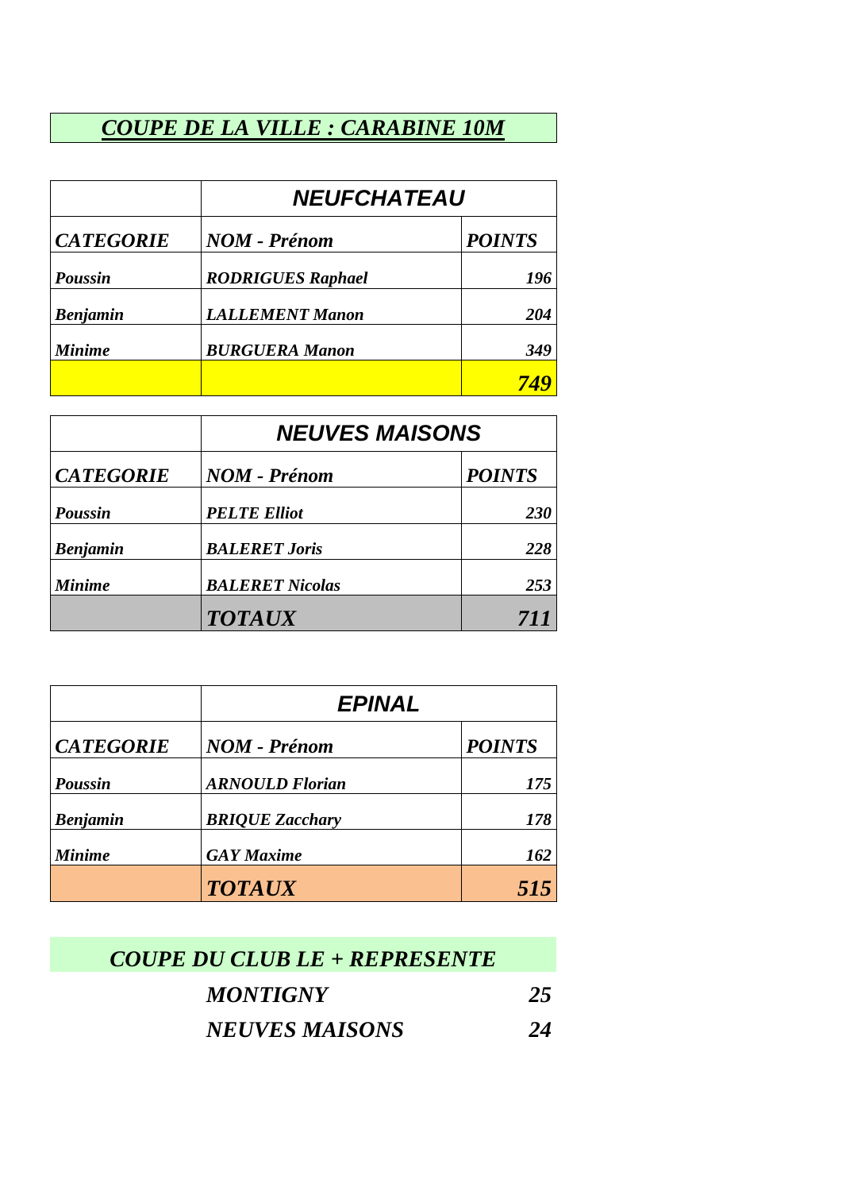# *COUPE DE LA VILLE : CARABINE 10M*

|                  | <b>NEUFCHATEAU</b>       |               |  |
|------------------|--------------------------|---------------|--|
| <b>CATEGORIE</b> | <b>NOM - Prénom</b>      | <b>POINTS</b> |  |
| <b>Poussin</b>   | <b>RODRIGUES Raphael</b> | 196           |  |
| <b>Benjamin</b>  | <b>LALLEMENT Manon</b>   | 204           |  |
| <b>Minime</b>    | <b>BURGUERA Manon</b>    | 349           |  |
|                  |                          |               |  |

|                  | <b>NEUVES MAISONS</b>  |               |  |
|------------------|------------------------|---------------|--|
| <b>CATEGORIE</b> | <b>NOM - Prénom</b>    | <b>POINTS</b> |  |
| <b>Poussin</b>   | <b>PELTE Elliot</b>    | <b>230</b>    |  |
| <b>Benjamin</b>  | <b>BALERET Joris</b>   | 228           |  |
| <b>Minime</b>    | <b>BALERET Nicolas</b> | 253           |  |
|                  | <b>TOTAUX</b>          | 711           |  |

|                  | <b>EPINAL</b>          |               |  |
|------------------|------------------------|---------------|--|
| <b>CATEGORIE</b> | <b>NOM - Prénom</b>    | <b>POINTS</b> |  |
| <b>Poussin</b>   | <b>ARNOULD Florian</b> | 175           |  |
| <b>Benjamin</b>  | <b>BRIQUE Zacchary</b> | 178           |  |
| <b>Minime</b>    | <b>GAY</b> Maxime      | 162           |  |
|                  | <b>TOTAUX</b>          | 515           |  |

| COUPE DU CLUB LE + REPRESENTE |    |
|-------------------------------|----|
| <b>MONTIGNY</b>               | 25 |
| <b>NEUVES MAISONS</b>         | 24 |